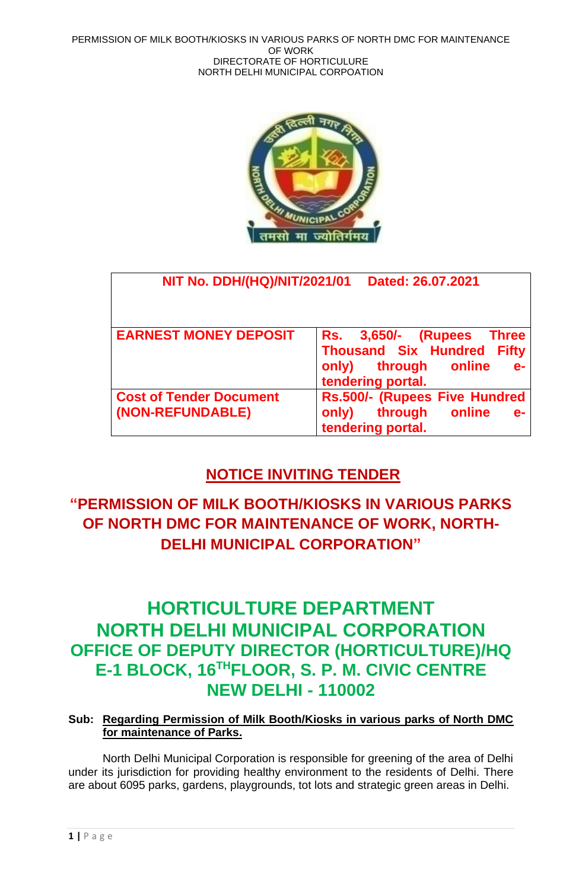

| <b>NIT No. DDH/(HQ)/NIT/2021/01</b>                | Dated: 26.07.2021                                                                                                                |
|----------------------------------------------------|----------------------------------------------------------------------------------------------------------------------------------|
| <b>EARNEST MONEY DEPOSIT</b>                       | Rs. 3,650/- (Rupees Three<br><b>Thousand Six Hundred</b><br><b>Fifty</b><br>through online<br>only)<br>$e-$<br>tendering portal. |
| <b>Cost of Tender Document</b><br>(NON-REFUNDABLE) | Rs.500/- (Rupees Five Hundred<br>through<br>online<br>only)<br>$e-$<br>tendering portal.                                         |

## **NOTICE INVITING TENDER**

# **"PERMISSION OF MILK BOOTH/KIOSKS IN VARIOUS PARKS OF NORTH DMC FOR MAINTENANCE OF WORK, NORTH-DELHI MUNICIPAL CORPORATION"**

# **HORTICULTURE DEPARTMENT NORTH DELHI MUNICIPAL CORPORATION OFFICE OF DEPUTY DIRECTOR (HORTICULTURE)/HQ E-1 BLOCK, 16THFLOOR, S. P. M. CIVIC CENTRE NEW DELHI - 110002**

## **Sub: Regarding Permission of Milk Booth/Kiosks in various parks of North DMC for maintenance of Parks.**

North Delhi Municipal Corporation is responsible for greening of the area of Delhi under its jurisdiction for providing healthy environment to the residents of Delhi. There are about 6095 parks, gardens, playgrounds, tot lots and strategic green areas in Delhi.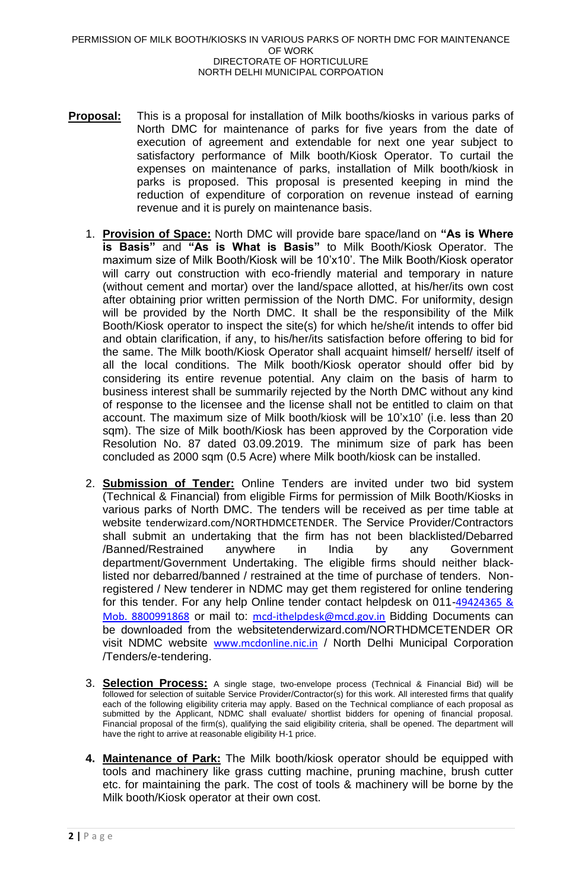- **Proposal:** This is a proposal for installation of Milk booths/kiosks in various parks of North DMC for maintenance of parks for five years from the date of execution of agreement and extendable for next one year subject to satisfactory performance of Milk booth/Kiosk Operator. To curtail the expenses on maintenance of parks, installation of Milk booth/kiosk in parks is proposed. This proposal is presented keeping in mind the reduction of expenditure of corporation on revenue instead of earning revenue and it is purely on maintenance basis.
	- 1. **Provision of Space:** North DMC will provide bare space/land on **"As is Where is Basis"** and **"As is What is Basis"** to Milk Booth/Kiosk Operator. The maximum size of Milk Booth/Kiosk will be 10'x10'. The Milk Booth/Kiosk operator will carry out construction with eco-friendly material and temporary in nature (without cement and mortar) over the land/space allotted, at his/her/its own cost after obtaining prior written permission of the North DMC. For uniformity, design will be provided by the North DMC. It shall be the responsibility of the Milk Booth/Kiosk operator to inspect the site(s) for which he/she/it intends to offer bid and obtain clarification, if any, to his/her/its satisfaction before offering to bid for the same. The Milk booth/Kiosk Operator shall acquaint himself/ herself/ itself of all the local conditions. The Milk booth/Kiosk operator should offer bid by considering its entire revenue potential. Any claim on the basis of harm to business interest shall be summarily rejected by the North DMC without any kind of response to the licensee and the license shall not be entitled to claim on that account. The maximum size of Milk booth/kiosk will be 10'x10' (i.e. less than 20 sqm). The size of Milk booth/Kiosk has been approved by the Corporation vide Resolution No. 87 dated 03.09.2019. The minimum size of park has been concluded as 2000 sqm (0.5 Acre) where Milk booth/kiosk can be installed.
	- 2. **Submission of Tender:** Online Tenders are invited under two bid system (Technical & Financial) from eligible Firms for permission of Milk Booth/Kiosks in various parks of North DMC. The tenders will be received as per time table at website tenderwizard.com/NORTHDMCETENDER. The Service Provider/Contractors shall submit an undertaking that the firm has not been blacklisted/Debarred /Banned/Restrained anywhere in India by any Government department/Government Undertaking. The eligible firms should neither blacklisted nor debarred/banned / restrained at the time of purchase of tenders. Nonregistered / New tenderer in NDMC may get them registered for online tendering for this tender. For any help Online tender contact helpdesk on 011-[49424365 &](mailto:49424365%20&%20Mob.%208800991868)  [Mob. 8800991868](mailto:49424365%20&%20Mob.%208800991868) or mail to: [mcd-ithelpdesk@mcd.gov.in](mailto:mcd-ithelpdesk@mcd.gov.in) Bidding Documents can be downloaded from the websitetenderwizard.com/NORTHDMCETENDER OR visit NDMC website [www.mcdonline.nic.in](http://www.mcdonline.nic.in/) / North Delhi Municipal Corporation /Tenders/e-tendering.
	- 3. **Selection Process:** A single stage, two-envelope process (Technical & Financial Bid) will be followed for selection of suitable Service Provider/Contractor(s) for this work. All interested firms that qualify each of the following eligibility criteria may apply. Based on the Technical compliance of each proposal as submitted by the Applicant, NDMC shall evaluate/ shortlist bidders for opening of financial proposal. Financial proposal of the firm(s), qualifying the said eligibility criteria, shall be opened. The department will have the right to arrive at reasonable eligibility H-1 price.
	- **4. Maintenance of Park:** The Milk booth/kiosk operator should be equipped with tools and machinery like grass cutting machine, pruning machine, brush cutter etc. for maintaining the park. The cost of tools & machinery will be borne by the Milk booth/Kiosk operator at their own cost.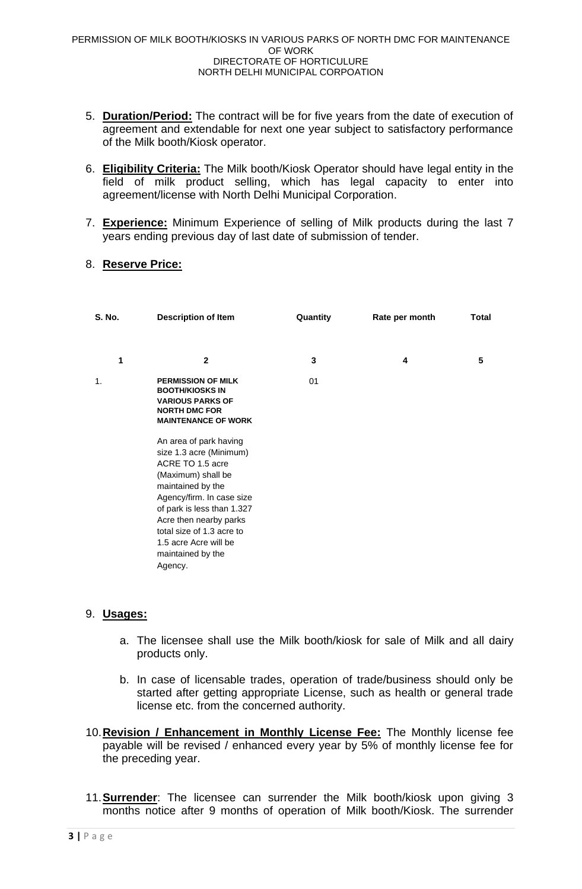- 5. **Duration/Period:** The contract will be for five years from the date of execution of agreement and extendable for next one year subject to satisfactory performance of the Milk booth/Kiosk operator.
- 6. **Eligibility Criteria:** The Milk booth/Kiosk Operator should have legal entity in the field of milk product selling, which has legal capacity to enter into agreement/license with North Delhi Municipal Corporation.
- 7. **Experience:** Minimum Experience of selling of Milk products during the last 7 years ending previous day of last date of submission of tender.

### 8. **Reserve Price:**

| <b>S. No.</b> | <b>Description of Item</b>                                                                                                                                                                                                                                                                  | Quantity | Rate per month | Total |  |
|---------------|---------------------------------------------------------------------------------------------------------------------------------------------------------------------------------------------------------------------------------------------------------------------------------------------|----------|----------------|-------|--|
| 1             | $\mathbf{2}$                                                                                                                                                                                                                                                                                | 3        | 4              | 5     |  |
| 1.            | <b>PERMISSION OF MILK</b><br><b>BOOTH/KIOSKS IN</b><br><b>VARIOUS PARKS OF</b><br><b>NORTH DMC FOR</b><br><b>MAINTENANCE OF WORK</b>                                                                                                                                                        | 01       |                |       |  |
|               | An area of park having<br>size 1.3 acre (Minimum)<br>ACRE TO 1.5 acre<br>(Maximum) shall be<br>maintained by the<br>Agency/firm. In case size<br>of park is less than 1.327<br>Acre then nearby parks<br>total size of 1.3 acre to<br>1.5 acre Acre will be<br>maintained by the<br>Agency. |          |                |       |  |

## 9. **Usages:**

- a. The licensee shall use the Milk booth/kiosk for sale of Milk and all dairy products only.
- b. In case of licensable trades, operation of trade/business should only be started after getting appropriate License, such as health or general trade license etc. from the concerned authority.
- 10.**Revision / Enhancement in Monthly License Fee:** The Monthly license fee payable will be revised / enhanced every year by 5% of monthly license fee for the preceding year.
- 11.**Surrender**: The licensee can surrender the Milk booth/kiosk upon giving 3 months notice after 9 months of operation of Milk booth/Kiosk. The surrender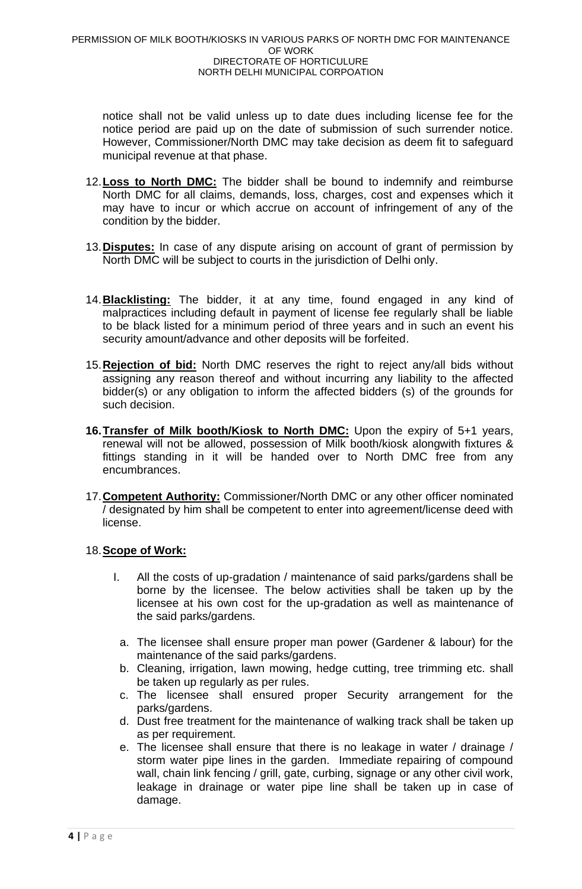notice shall not be valid unless up to date dues including license fee for the notice period are paid up on the date of submission of such surrender notice. However, Commissioner/North DMC may take decision as deem fit to safeguard municipal revenue at that phase.

- 12.**Loss to North DMC:** The bidder shall be bound to indemnify and reimburse North DMC for all claims, demands, loss, charges, cost and expenses which it may have to incur or which accrue on account of infringement of any of the condition by the bidder.
- 13.**Disputes:** In case of any dispute arising on account of grant of permission by North DMC will be subject to courts in the jurisdiction of Delhi only.
- 14.**Blacklisting:** The bidder, it at any time, found engaged in any kind of malpractices including default in payment of license fee regularly shall be liable to be black listed for a minimum period of three years and in such an event his security amount/advance and other deposits will be forfeited.
- 15.**Rejection of bid:** North DMC reserves the right to reject any/all bids without assigning any reason thereof and without incurring any liability to the affected bidder(s) or any obligation to inform the affected bidders (s) of the grounds for such decision.
- **16.Transfer of Milk booth/Kiosk to North DMC:** Upon the expiry of 5+1 years, renewal will not be allowed, possession of Milk booth/kiosk alongwith fixtures & fittings standing in it will be handed over to North DMC free from any encumbrances.
- 17.**Competent Authority:** Commissioner/North DMC or any other officer nominated / designated by him shall be competent to enter into agreement/license deed with license.

## 18.**Scope of Work:**

- I. All the costs of up-gradation / maintenance of said parks/gardens shall be borne by the licensee. The below activities shall be taken up by the licensee at his own cost for the up-gradation as well as maintenance of the said parks/gardens.
	- a. The licensee shall ensure proper man power (Gardener & labour) for the maintenance of the said parks/gardens.
- b. Cleaning, irrigation, lawn mowing, hedge cutting, tree trimming etc. shall be taken up regularly as per rules.
- c. The licensee shall ensured proper Security arrangement for the parks/gardens.
- d. Dust free treatment for the maintenance of walking track shall be taken up as per requirement.
- e. The licensee shall ensure that there is no leakage in water / drainage / storm water pipe lines in the garden. Immediate repairing of compound wall, chain link fencing / grill, gate, curbing, signage or any other civil work, leakage in drainage or water pipe line shall be taken up in case of damage.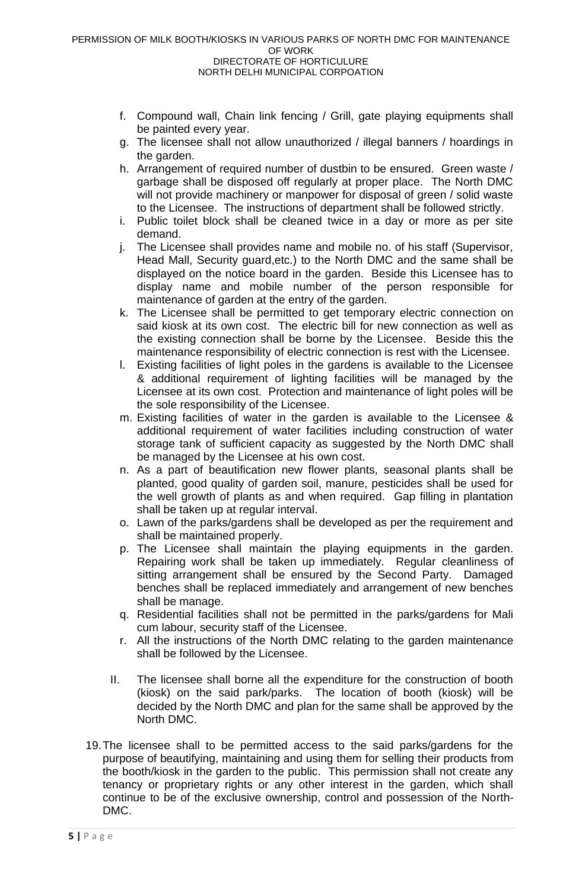- f. Compound wall, Chain link fencing / Grill, gate playing equipments shall be painted every year.
- g. The licensee shall not allow unauthorized / illegal banners / hoardings in the garden.
- h. Arrangement of required number of dustbin to be ensured. Green waste / garbage shall be disposed off regularly at proper place. The North DMC will not provide machinery or manpower for disposal of green / solid waste to the Licensee. The instructions of department shall be followed strictly.
- i. Public toilet block shall be cleaned twice in a day or more as per site demand.
- j. The Licensee shall provides name and mobile no. of his staff (Supervisor, Head Mall, Security guard,etc.) to the North DMC and the same shall be displayed on the notice board in the garden. Beside this Licensee has to display name and mobile number of the person responsible for maintenance of garden at the entry of the garden.
- k. The Licensee shall be permitted to get temporary electric connection on said kiosk at its own cost. The electric bill for new connection as well as the existing connection shall be borne by the Licensee. Beside this the maintenance responsibility of electric connection is rest with the Licensee.
- l. Existing facilities of light poles in the gardens is available to the Licensee & additional requirement of lighting facilities will be managed by the Licensee at its own cost. Protection and maintenance of light poles will be the sole responsibility of the Licensee.
- m. Existing facilities of water in the garden is available to the Licensee & additional requirement of water facilities including construction of water storage tank of sufficient capacity as suggested by the North DMC shall be managed by the Licensee at his own cost.
- n. As a part of beautification new flower plants, seasonal plants shall be planted, good quality of garden soil, manure, pesticides shall be used for the well growth of plants as and when required. Gap filling in plantation shall be taken up at regular interval.
- o. Lawn of the parks/gardens shall be developed as per the requirement and shall be maintained properly.
- p. The Licensee shall maintain the playing equipments in the garden. Repairing work shall be taken up immediately. Regular cleanliness of sitting arrangement shall be ensured by the Second Party. Damaged benches shall be replaced immediately and arrangement of new benches shall be manage.
- q. Residential facilities shall not be permitted in the parks/gardens for Mali cum labour, security staff of the Licensee.
- r. All the instructions of the North DMC relating to the garden maintenance shall be followed by the Licensee.
- II. The licensee shall borne all the expenditure for the construction of booth (kiosk) on the said park/parks. The location of booth (kiosk) will be decided by the North DMC and plan for the same shall be approved by the North DMC.
- 19.The licensee shall to be permitted access to the said parks/gardens for the purpose of beautifying, maintaining and using them for selling their products from the booth/kiosk in the garden to the public. This permission shall not create any tenancy or proprietary rights or any other interest in the garden, which shall continue to be of the exclusive ownership, control and possession of the North-DMC.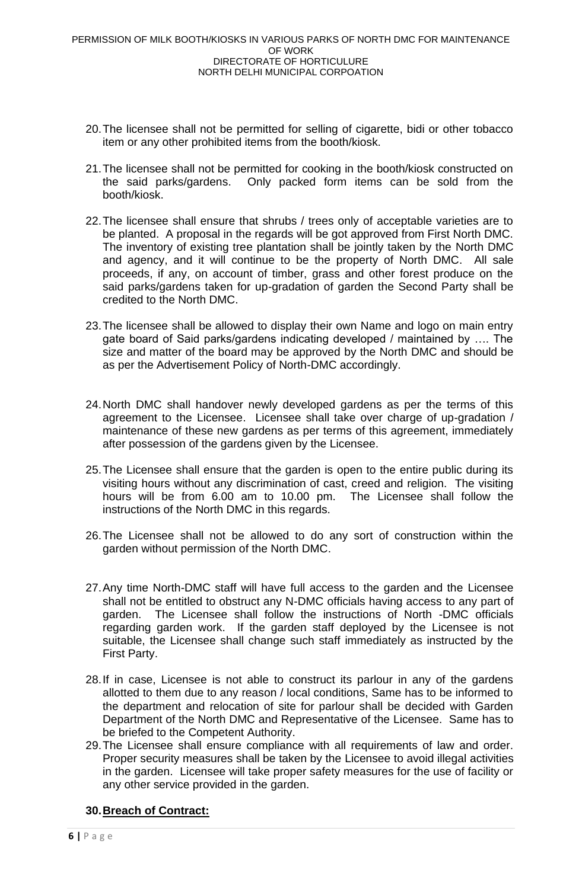- 20.The licensee shall not be permitted for selling of cigarette, bidi or other tobacco item or any other prohibited items from the booth/kiosk.
- 21.The licensee shall not be permitted for cooking in the booth/kiosk constructed on the said parks/gardens. Only packed form items can be sold from the booth/kiosk.
- 22.The licensee shall ensure that shrubs / trees only of acceptable varieties are to be planted. A proposal in the regards will be got approved from First North DMC. The inventory of existing tree plantation shall be jointly taken by the North DMC and agency, and it will continue to be the property of North DMC. All sale proceeds, if any, on account of timber, grass and other forest produce on the said parks/gardens taken for up-gradation of garden the Second Party shall be credited to the North DMC.
- 23.The licensee shall be allowed to display their own Name and logo on main entry gate board of Said parks/gardens indicating developed / maintained by …. The size and matter of the board may be approved by the North DMC and should be as per the Advertisement Policy of North-DMC accordingly.
- 24.North DMC shall handover newly developed gardens as per the terms of this agreement to the Licensee. Licensee shall take over charge of up-gradation / maintenance of these new gardens as per terms of this agreement, immediately after possession of the gardens given by the Licensee.
- 25.The Licensee shall ensure that the garden is open to the entire public during its visiting hours without any discrimination of cast, creed and religion. The visiting hours will be from 6.00 am to 10.00 pm. The Licensee shall follow the instructions of the North DMC in this regards.
- 26.The Licensee shall not be allowed to do any sort of construction within the garden without permission of the North DMC.
- 27.Any time North-DMC staff will have full access to the garden and the Licensee shall not be entitled to obstruct any N-DMC officials having access to any part of garden. The Licensee shall follow the instructions of North -DMC officials regarding garden work. If the garden staff deployed by the Licensee is not suitable, the Licensee shall change such staff immediately as instructed by the First Party.
- 28.If in case, Licensee is not able to construct its parlour in any of the gardens allotted to them due to any reason / local conditions, Same has to be informed to the department and relocation of site for parlour shall be decided with Garden Department of the North DMC and Representative of the Licensee. Same has to be briefed to the Competent Authority.
- 29.The Licensee shall ensure compliance with all requirements of law and order. Proper security measures shall be taken by the Licensee to avoid illegal activities in the garden. Licensee will take proper safety measures for the use of facility or any other service provided in the garden.

## **30.Breach of Contract:**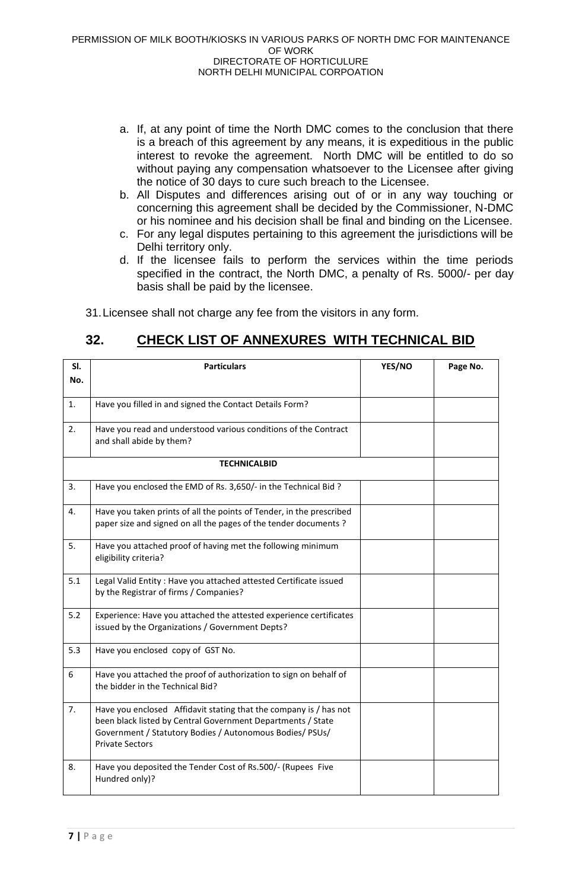- a. If, at any point of time the North DMC comes to the conclusion that there is a breach of this agreement by any means, it is expeditious in the public interest to revoke the agreement. North DMC will be entitled to do so without paying any compensation whatsoever to the Licensee after giving the notice of 30 days to cure such breach to the Licensee.
- b. All Disputes and differences arising out of or in any way touching or concerning this agreement shall be decided by the Commissioner, N-DMC or his nominee and his decision shall be final and binding on the Licensee.
- c. For any legal disputes pertaining to this agreement the jurisdictions will be Delhi territory only.
- d. If the licensee fails to perform the services within the time periods specified in the contract, the North DMC, a penalty of Rs. 5000/- per day basis shall be paid by the licensee.

31.Licensee shall not charge any fee from the visitors in any form.

## **32. CHECK LIST OF ANNEXURES WITH TECHNICAL BID**

| SI.<br>No. | <b>Particulars</b>                                                                                                                                                                                                     | YES/NO | Page No. |
|------------|------------------------------------------------------------------------------------------------------------------------------------------------------------------------------------------------------------------------|--------|----------|
|            |                                                                                                                                                                                                                        |        |          |
| 1.         | Have you filled in and signed the Contact Details Form?                                                                                                                                                                |        |          |
| 2.         | Have you read and understood various conditions of the Contract<br>and shall abide by them?                                                                                                                            |        |          |
|            | <b>TECHNICALBID</b>                                                                                                                                                                                                    |        |          |
| 3.         | Have you enclosed the EMD of Rs. 3,650/- in the Technical Bid ?                                                                                                                                                        |        |          |
| 4.         | Have you taken prints of all the points of Tender, in the prescribed<br>paper size and signed on all the pages of the tender documents?                                                                                |        |          |
| 5.         | Have you attached proof of having met the following minimum<br>eligibility criteria?                                                                                                                                   |        |          |
| 5.1        | Legal Valid Entity: Have you attached attested Certificate issued<br>by the Registrar of firms / Companies?                                                                                                            |        |          |
| 5.2        | Experience: Have you attached the attested experience certificates<br>issued by the Organizations / Government Depts?                                                                                                  |        |          |
| 5.3        | Have you enclosed copy of GST No.                                                                                                                                                                                      |        |          |
| 6          | Have you attached the proof of authorization to sign on behalf of<br>the bidder in the Technical Bid?                                                                                                                  |        |          |
| 7.         | Have you enclosed Affidavit stating that the company is / has not<br>been black listed by Central Government Departments / State<br>Government / Statutory Bodies / Autonomous Bodies/ PSUs/<br><b>Private Sectors</b> |        |          |
| 8.         | Have you deposited the Tender Cost of Rs.500/- (Rupees Five<br>Hundred only)?                                                                                                                                          |        |          |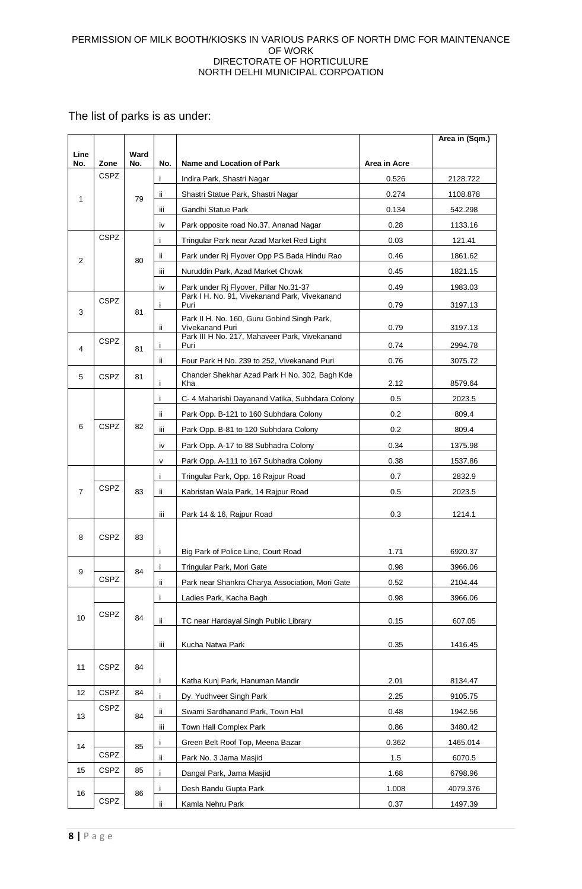The list of parks is as under:

|                |                     |      |     |                                                                                              |              | Area in (Sqm.) |
|----------------|---------------------|------|-----|----------------------------------------------------------------------------------------------|--------------|----------------|
| Line           |                     | Ward |     |                                                                                              |              |                |
| No.            | Zone<br><b>CSPZ</b> | No.  | No. | Name and Location of Park                                                                    | Area in Acre |                |
|                |                     |      | j.  | Indira Park, Shastri Nagar                                                                   | 0.526        | 2128.722       |
| 1              |                     | 79   | ii. | Shastri Statue Park, Shastri Nagar                                                           | 0.274        | 1108.878       |
|                |                     |      | Ϊİ  | Gandhi Statue Park                                                                           | 0.134        | 542.298        |
|                |                     |      | iv  | Park opposite road No.37, Ananad Nagar                                                       | 0.28         | 1133.16        |
|                | <b>CSPZ</b>         |      | j.  | Tringular Park near Azad Market Red Light                                                    | 0.03         | 121.41         |
| $\overline{2}$ |                     | 80   | ii. | Park under Rj Flyover Opp PS Bada Hindu Rao                                                  | 0.46         | 1861.62        |
|                |                     |      | iii | Nuruddin Park, Azad Market Chowk                                                             | 0.45         | 1821.15        |
|                |                     |      | iv  | Park under Rj Flyover, Pillar No.31-37                                                       | 0.49         | 1983.03        |
|                | <b>CSPZ</b>         |      | Ĺ   | Park I H. No. 91, Vivekanand Park, Vivekanand<br>Puri                                        | 0.79         | 3197.13        |
| 3              |                     | 81   | ii. | Park II H. No. 160, Guru Gobind Singh Park,<br>Vivekanand Puri                               | 0.79         | 3197.13        |
|                | <b>CSPZ</b>         |      | j.  | Park III H No. 217, Mahaveer Park, Vivekanand<br>Puri                                        | 0.74         |                |
| 4              |                     | 81   |     |                                                                                              |              | 2994.78        |
|                |                     |      | ïi  | Four Park H No. 239 to 252, Vivekanand Puri<br>Chander Shekhar Azad Park H No. 302, Bagh Kde | 0.76         | 3075.72        |
| 5              | <b>CSPZ</b>         | 81   | Ť   | Kha                                                                                          | 2.12         | 8579.64        |
|                |                     |      | j.  | C- 4 Maharishi Dayanand Vatika, Subhdara Colony                                              | 0.5          | 2023.5         |
|                |                     |      | ii. | Park Opp. B-121 to 160 Subhdara Colony                                                       | 0.2          | 809.4          |
| 6              | <b>CSPZ</b>         | 82   | iii | Park Opp. B-81 to 120 Subhdara Colony                                                        | 0.2          | 809.4          |
|                |                     |      | iv  | Park Opp. A-17 to 88 Subhadra Colony                                                         | 0.34         | 1375.98        |
|                |                     |      | v   | Park Opp. A-111 to 167 Subhadra Colony                                                       | 0.38         | 1537.86        |
|                |                     |      | i.  | Tringular Park, Opp. 16 Rajpur Road                                                          | 0.7          | 2832.9         |
| $\overline{7}$ | <b>CSPZ</b>         | 83   | ii. | Kabristan Wala Park, 14 Rajpur Road                                                          | 0.5          | 2023.5         |
|                |                     |      |     |                                                                                              |              |                |
|                |                     |      | Ϊİ  | Park 14 & 16, Rajpur Road                                                                    | 0.3          | 1214.1         |
| 8              | <b>CSPZ</b>         | 83   |     |                                                                                              |              |                |
|                |                     |      | Ť   | Big Park of Police Line, Court Road                                                          | 1.71         | 6920.37        |
|                |                     |      | j.  | Tringular Park, Mori Gate                                                                    | 0.98         | 3966.06        |
| 9              | <b>CSPZ</b>         | 84   | ii. | Park near Shankra Charya Association, Mori Gate                                              | 0.52         | 2104.44        |
|                |                     |      |     |                                                                                              |              |                |
|                |                     |      | j.  | Ladies Park, Kacha Bagh                                                                      | 0.98         | 3966.06        |
| 10             | <b>CSPZ</b>         | 84   | ij. | TC near Hardayal Singh Public Library                                                        | 0.15         | 607.05         |
|                |                     |      |     |                                                                                              |              |                |
|                |                     |      | iii | Kucha Natwa Park                                                                             | 0.35         | 1416.45        |
| 11             | <b>CSPZ</b>         | 84   |     |                                                                                              |              |                |
|                |                     |      | j.  | Katha Kunj Park, Hanuman Mandir                                                              | 2.01         | 8134.47        |
| 12             | <b>CSPZ</b>         | 84   | Ť   | Dy. Yudhveer Singh Park                                                                      | 2.25         | 9105.75        |
|                | <b>CSPZ</b>         |      | ii. | Swami Sardhanand Park, Town Hall                                                             | 0.48         | 1942.56        |
| 13             |                     | 84   | iii | Town Hall Complex Park                                                                       | 0.86         | 3480.42        |
|                |                     |      | Ť   | Green Belt Roof Top, Meena Bazar                                                             | 0.362        | 1465.014       |
| 14             | CSPZ                | 85   | ï   | Park No. 3 Jama Masjid                                                                       | 1.5          | 6070.5         |
| 15             | <b>CSPZ</b>         | 85   | i.  | Dangal Park, Jama Masjid                                                                     | 1.68         | 6798.96        |
|                |                     |      | Ť   | Desh Bandu Gupta Park                                                                        | 1.008        | 4079.376       |
| 16             | <b>CSPZ</b>         | 86   | ii. | Kamla Nehru Park                                                                             | 0.37         | 1497.39        |
|                |                     |      |     |                                                                                              |              |                |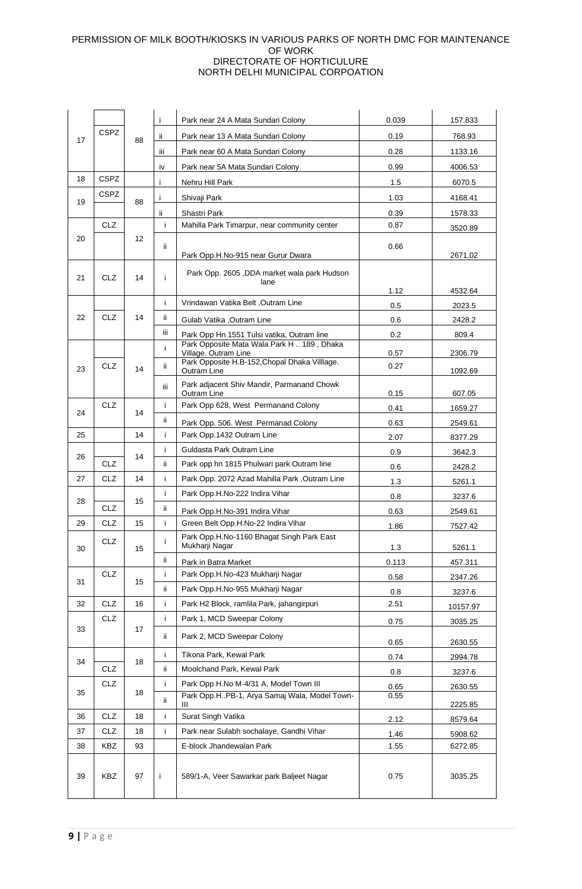|    | <b>CSPZ</b> |    | Ť    | Park near 24 A Mata Sundari Colony                                 | 0.039 | 157.833  |
|----|-------------|----|------|--------------------------------------------------------------------|-------|----------|
| 17 |             | 88 | ii.  | Park near 13 A Mata Sundari Colony                                 | 0.19  | 768.93   |
|    |             |    | Ш    | Park near 60 A Mata Sundari Colony                                 | 0.28  | 1133.16  |
|    |             |    | iv   | Park near 5A Mata Sundari Colony                                   | 0.99  | 4006.53  |
| 18 | <b>CSPZ</b> |    | i.   | Nehru Hill Park                                                    | 1.5   | 6070.5   |
| 19 | CSPZ        | 88 | i.   | Shivaji Park                                                       | 1.03  | 4168.41  |
|    |             |    | ii.  | Shastri Park                                                       | 0.39  | 1578.33  |
|    | <b>CLZ</b>  |    | i.   | Mahilla Park Timarpur, near community center                       | 0.87  | 3520.89  |
| 20 |             | 12 | ii.  |                                                                    | 0.66  |          |
|    |             |    |      | Park Opp.H.No-915 near Gurur Dwara                                 |       | 2671.02  |
| 21 | CLZ         | 14 | i    | Park Opp. 2605, DDA market wala park Hudson                        |       |          |
|    |             |    |      | lane                                                               | 1.12  | 4532.64  |
|    |             |    | i.   | Vrindawan Vatika Belt, Outram Line                                 | 0.5   | 2023.5   |
| 22 | <b>CLZ</b>  | 14 | ii.  | Gulab Vatika .Outram Line                                          | 0.6   | 2428.2   |
|    |             |    | iii. | Park Opp Hn 1551 Tulsi vatika, Outram line                         | 0.2   | 809.4    |
|    |             |    | i.   | Park Opposite Mata Wala Park H  189, Dhaka<br>Village. Outram Line | 0.57  | 2306.79  |
| 23 | <b>CLZ</b>  | 14 | ij.  | Park Opposite H.B-152, Chopal Dhaka Villlage.                      | 0.27  |          |
|    |             |    |      | Outram Line<br>Park adjacent Shiv Mandir, Parmanand Chowk          |       | 1092.69  |
|    |             |    | iii. | Outram Line                                                        | 0.15  | 607.05   |
| 24 | <b>CLZ</b>  | 14 | i.   | Park Opp 628, West Permanand Colony                                | 0.41  | 1659.27  |
|    |             |    | ii.  | Park Opp. 506. West Permanad Colony                                | 0.63  | 2549.61  |
| 25 |             | 14 | i.   | Park Opp.1432 Outram Line                                          | 2.07  | 8377.29  |
| 26 |             | 14 | i.   | Guldasta Park Outram Line                                          | 0.9   | 3642.3   |
|    | CLZ         |    | ii.  | Park opp hn 1815 Phulwari park Outram line                         | 0.6   | 2428.2   |
| 27 | CLZ         | 14 | i.   | Park Opp. 2072 Azad Mahilla Park, Outram Line                      | 1.3   | 5261.1   |
| 28 |             | 15 | i.   | Park Opp.H.No-222 Indira Vihar                                     | 0.8   | 3237.6   |
|    | CLZ.        |    | ii.  | Park Opp.H.No-391 Indira Vihar                                     | 0.63  | 2549.61  |
| 29 | <b>CLZ</b>  | 15 | i.   | Green Belt Opp.H.No-22 Indira Vihar                                | 1.86  | 7527.42  |
| 30 | <b>CLZ</b>  | 15 | i    | Park Opp.H.No-1160 Bhagat Singh Park East<br>Mukharji Nagar        | 1.3   | 5261.1   |
|    |             |    | ii.  | Park in Batra Market                                               | 0.113 | 457.311  |
| 31 | CLZ         | 15 | i.   | Park Opp.H.No-423 Mukharji Nagar                                   | 0.58  | 2347.26  |
|    |             |    | ii.  | Park Opp.H.No-955 Mukharji Nagar                                   | 0.8   | 3237.6   |
| 32 | CLZ         | 16 | Ĺ    | Park H2 Block, ramlila Park, jahangirpuri                          | 2.51  | 10157.97 |
|    | CLZ         |    | i.   | Park 1, MCD Sweepar Colony                                         | 0.75  | 3035.25  |
| 33 |             | 17 | ii.  | Park 2, MCD Sweepar Colony                                         | 0.65  | 2630.55  |
| 34 |             | 18 | i.   | Tikona Park, Kewal Park                                            | 0.74  | 2994.78  |
|    | CLZ         |    | ii.  | Moolchand Park, Kewal Park                                         | 0.8   | 3237.6   |
| 35 | <b>CLZ</b>  |    | i.   | Park Opp H.No M-4/31 A, Model Town III                             | 0.65  | 2630.55  |
|    |             | 18 | ii.  | Park Opp.HPB-1, Arya Samaj Wala, Model Town-                       | 0.55  | 2225.85  |
| 36 | <b>CLZ</b>  | 18 | i.   | Surat Singh Vatika                                                 | 2.12  | 8579.64  |
| 37 | CLZ         | 18 | i.   | Park near Sulabh sochalaye, Gandhi Vihar                           | 1.46  | 5908.62  |
| 38 | KBZ         | 93 |      | E-block Jhandewalan Park                                           | 1.55  | 6272.85  |
| 39 | <b>KBZ</b>  | 97 | j.   | 589/1-A, Veer Sawarkar park Baljeet Nagar                          | 0.75  | 3035.25  |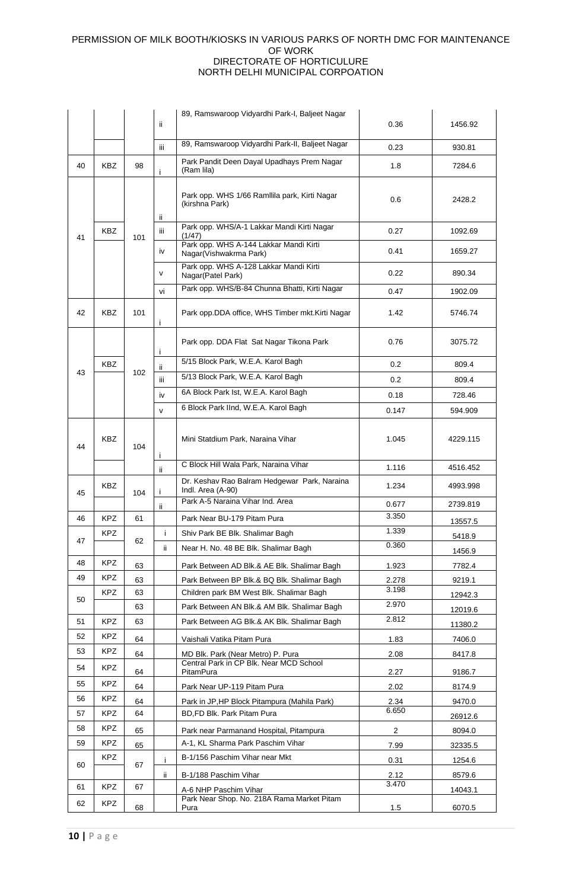|    |            |     |      | 89, Ramswaroop Vidyardhi Park-I, Baljeet Nagar                      |                         |          |
|----|------------|-----|------|---------------------------------------------------------------------|-------------------------|----------|
|    |            |     | ii.  |                                                                     | 0.36                    | 1456.92  |
|    |            |     | iii. | 89, Ramswaroop Vidyardhi Park-II, Baljeet Nagar                     | 0.23                    | 930.81   |
| 40 | <b>KBZ</b> | 98  | Ť    | Park Pandit Deen Dayal Upadhays Prem Nagar<br>(Ram lila)            | 1.8                     | 7284.6   |
|    |            |     | ii.  | Park opp. WHS 1/66 Ramllila park, Kirti Nagar<br>(kirshna Park)     | 0.6                     | 2428.2   |
| 41 | <b>KBZ</b> | 101 | Ш    | Park opp. WHS/A-1 Lakkar Mandi Kirti Nagar<br>(1/47)                | 0.27                    | 1092.69  |
|    |            |     | iv   | Park opp. WHS A-144 Lakkar Mandi Kirti<br>Nagar(Vishwakrma Park)    | 0.41                    | 1659.27  |
|    |            |     | V    | Park opp. WHS A-128 Lakkar Mandi Kirti<br>Nagar(Patel Park)         | 0.22                    | 890.34   |
|    |            |     | vi   | Park opp. WHS/B-84 Chunna Bhatti, Kirti Nagar                       | 0.47                    | 1902.09  |
| 42 | KBZ        | 101 | j.   | Park opp.DDA office, WHS Timber mkt. Kirti Nagar                    | 1.42                    | 5746.74  |
|    |            |     | j.   | Park opp. DDA Flat Sat Nagar Tikona Park                            | 0.76                    | 3075.72  |
|    | <b>KBZ</b> |     | ii.  | 5/15 Block Park, W.E.A. Karol Bagh                                  | 0.2                     | 809.4    |
| 43 |            | 102 | iii  | 5/13 Block Park, W.E.A. Karol Bagh                                  | 0.2                     | 809.4    |
|    |            |     | iv   | 6A Block Park Ist, W.E.A. Karol Bagh                                | 0.18                    | 728.46   |
|    |            |     | v    | 6 Block Park IInd, W.E.A. Karol Bagh                                | 0.147                   | 594.909  |
| 44 | <b>KBZ</b> | 104 | Ť    | Mini Statdium Park, Naraina Vihar                                   | 1.045                   | 4229.115 |
|    |            |     | ii.  | C Block Hill Wala Park, Naraina Vihar                               | 1.116                   | 4516.452 |
| 45 | KBZ        | 104 | Ť    | Dr. Keshav Rao Balram Hedgewar Park, Naraina<br>Indl. Area (A-90)   | 1.234                   | 4993.998 |
|    |            |     | ii.  | Park A-5 Naraina Vihar Ind. Area                                    | 0.677                   | 2739.819 |
| 46 | <b>KPZ</b> | 61  |      | Park Near BU-179 Pitam Pura                                         | 3.350                   | 13557.5  |
| 47 | <b>KPZ</b> | 62  |      | Shiv Park BE Blk. Shalimar Bagh                                     | 1.339                   | 5418.9   |
|    |            |     | ii.  | Near H. No. 48 BE Blk. Shalimar Bagh                                | 0.360                   | 1456.9   |
| 48 | <b>KPZ</b> | 63  |      | Park Between AD Blk.& AE Blk. Shalimar Bagh                         | 1.923                   | 7782.4   |
| 49 | KPZ        | 63  |      | Park Between BP Blk.& BQ Blk. Shalimar Bagh                         | 2.278                   | 9219.1   |
| 50 | KPZ.       | 63  |      | Children park BM West Blk. Shalimar Bagh                            | 3.198                   | 12942.3  |
|    |            | 63  |      | Park Between AN Blk.& AM Blk. Shalimar Bagh                         | 2.970                   | 12019.6  |
| 51 | KPZ        | 63  |      | Park Between AG Blk.& AK Blk. Shalimar Bagh                         | 2.812                   | 11380.2  |
| 52 | <b>KPZ</b> | 64  |      | Vaishali Vatika Pitam Pura                                          | 1.83                    | 7406.0   |
| 53 | KPZ        | 64  |      | MD Blk. Park (Near Metro) P. Pura                                   | 2.08                    | 8417.8   |
| 54 | KPZ        | 64  |      | Central Park in CP Blk. Near MCD School<br>PitamPura                | 2.27                    | 9186.7   |
| 55 | <b>KPZ</b> | 64  |      | Park Near UP-119 Pitam Pura                                         | 2.02                    | 8174.9   |
| 56 | KPZ        | 64  |      | Park in JP, HP Block Pitampura (Mahila Park)                        | 2.34                    | 9470.0   |
| 57 | <b>KPZ</b> | 64  |      | BD, FD Blk. Park Pitam Pura                                         | 6.650                   | 26912.6  |
| 58 | <b>KPZ</b> | 65  |      | Park near Parmanand Hospital, Pitampura                             | $\overline{\mathbf{c}}$ | 8094.0   |
| 59 | <b>KPZ</b> |     |      | A-1, KL Sharma Park Paschim Vihar                                   |                         |          |
|    | KPZ.       | 65  |      | B-1/156 Paschim Vihar near Mkt                                      | 7.99                    | 32335.5  |
| 60 |            | 67  | i    |                                                                     | 0.31                    | 1254.6   |
| 61 | <b>KPZ</b> | 67  | ij.  | B-1/188 Paschim Vihar                                               | 2.12<br>3.470           | 8579.6   |
|    |            |     |      | A-6 NHP Paschim Vihar<br>Park Near Shop. No. 218A Rama Market Pitam |                         | 14043.1  |
| 62 | <b>KPZ</b> | 68  |      | Pura                                                                | 1.5                     | 6070.5   |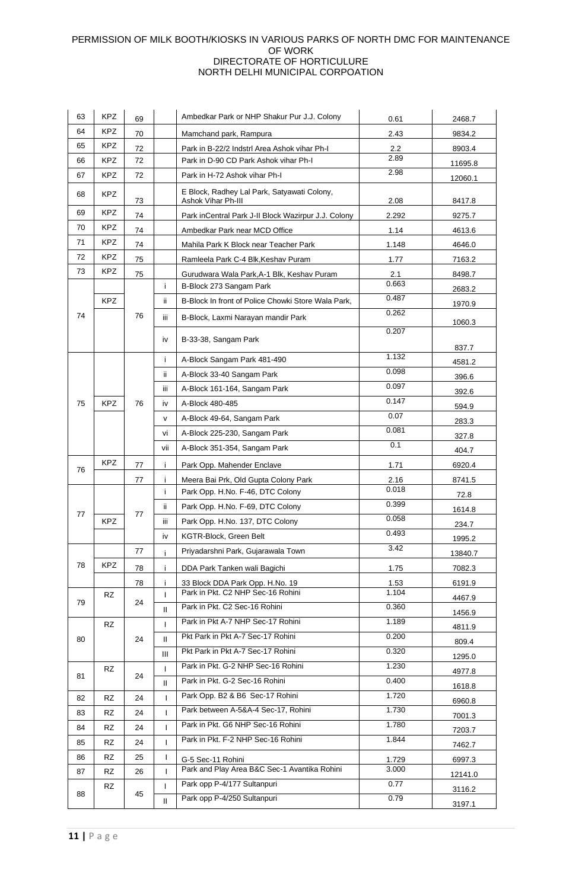| 63 | <b>KPZ</b> | 69 |                   | Ambedkar Park or NHP Shakur Pur J.J. Colony                       | 0.61           | 2468.7           |
|----|------------|----|-------------------|-------------------------------------------------------------------|----------------|------------------|
| 64 | <b>KPZ</b> | 70 |                   | Mamchand park, Rampura                                            | 2.43           | 9834.2           |
| 65 | <b>KPZ</b> | 72 |                   | Park in B-22/2 Indstrl Area Ashok vihar Ph-I                      | 2.2            | 8903.4           |
| 66 | <b>KPZ</b> | 72 |                   | Park in D-90 CD Park Ashok vihar Ph-I                             | 2.89           | 11695.8          |
| 67 | <b>KPZ</b> | 72 |                   | Park in H-72 Ashok vihar Ph-I                                     | 2.98           | 12060.1          |
| 68 | <b>KPZ</b> | 73 |                   | E Block, Radhey Lal Park, Satyawati Colony,<br>Ashok Vihar Ph-III | 2.08           | 8417.8           |
| 69 | <b>KPZ</b> | 74 |                   | Park inCentral Park J-II Block Wazirpur J.J. Colony               | 2.292          | 9275.7           |
| 70 | KPZ        | 74 |                   | Ambedkar Park near MCD Office                                     | 1.14           | 4613.6           |
| 71 | <b>KPZ</b> | 74 |                   | Mahila Park K Block near Teacher Park                             | 1.148          | 4646.0           |
| 72 | <b>KPZ</b> | 75 |                   | Ramleela Park C-4 Blk, Keshav Puram                               | 1.77           | 7163.2           |
| 73 | <b>KPZ</b> | 75 |                   | Gurudwara Wala Park, A-1 Blk, Keshav Puram                        | 2.1            | 8498.7           |
|    |            |    | i.                | B-Block 273 Sangam Park                                           | 0.663          | 2683.2           |
|    | <b>KPZ</b> |    | ii.               | B-Block In front of Police Chowki Store Wala Park,                | 0.487          | 1970.9           |
| 74 |            | 76 | iii               | B-Block, Laxmi Narayan mandir Park                                | 0.262          |                  |
|    |            |    |                   |                                                                   | 0.207          | 1060.3           |
|    |            |    | iv                | B-33-38, Sangam Park                                              |                | 837.7            |
|    |            |    | i.                | A-Block Sangam Park 481-490                                       | 1.132          | 4581.2           |
|    |            |    | ii.               | A-Block 33-40 Sangam Park                                         | 0.098          |                  |
|    |            |    | iii               | A-Block 161-164, Sangam Park                                      | 0.097          | 396.6            |
| 75 | <b>KPZ</b> | 76 | iv                | A-Block 480-485                                                   | 0.147          | 392.6            |
|    |            |    |                   |                                                                   | 0.07           | 594.9            |
|    |            |    | v                 | A-Block 49-64, Sangam Park                                        | 0.081          | 283.3            |
|    |            |    | vi                | A-Block 225-230, Sangam Park                                      | 0.1            | 327.8            |
|    |            |    | vii               | A-Block 351-354, Sangam Park                                      |                | 404.7            |
| 76 | <b>KPZ</b> | 77 | i.                | Park Opp. Mahender Enclave                                        | 1.71           | 6920.4           |
|    |            | 77 | Ť                 | Meera Bai Prk, Old Gupta Colony Park                              | 2.16<br>0.018  | 8741.5           |
|    |            |    | j.                | Park Opp. H.No. F-46, DTC Colony                                  |                | 72.8             |
| 77 |            | 77 | ii.               | Park Opp. H.No. F-69, DTC Colony                                  | 0.399          | 1614.8           |
|    | <b>KPZ</b> |    | iii               | Park Opp. H.No. 137, DTC Colony                                   | 0.058          | 234.7            |
|    |            |    | iv                | KGTR-Block, Green Belt                                            | 0.493          | 1995.2           |
|    |            | 77 | i.                | Priyadarshni Park, Gujarawala Town                                | 3.42           | 13840.7          |
| 78 | KPZ.       | 78 | i.                | DDA Park Tanken wali Bagichi                                      | 1.75           | 7082.3           |
|    |            | 78 | i.                | 33 Block DDA Park Opp. H.No. 19                                   | 1.53           | 6191.9           |
|    | RZ         |    | T                 | Park in Pkt. C2 NHP Sec-16 Rohini                                 | 1.104          | 4467.9           |
| 79 |            | 24 | $\mathbf{H}$      | Park in Pkt. C2 Sec-16 Rohini                                     | 0.360          | 1456.9           |
|    | <b>RZ</b>  |    | T                 | Park in Pkt A-7 NHP Sec-17 Rohini                                 | 1.189          | 4811.9           |
| 80 |            | 24 | Ш                 | Pkt Park in Pkt A-7 Sec-17 Rohini                                 | 0.200          | 809.4            |
|    |            |    | Ш                 | Pkt Park in Pkt A-7 Sec-17 Rohini                                 | 0.320          | 1295.0           |
|    | RZ         |    | T                 | Park in Pkt. G-2 NHP Sec-16 Rohini                                | 1.230          | 4977.8           |
| 81 |            | 24 | $\mathbf{H}$      | Park in Pkt. G-2 Sec-16 Rohini                                    | 0.400          | 1618.8           |
| 82 | <b>RZ</b>  | 24 | T                 | Park Opp. B2 & B6 Sec-17 Rohini                                   | 1.720          | 6960.8           |
| 83 | RZ         | 24 | L                 | Park between A-5&A-4 Sec-17, Rohini                               | 1.730          | 7001.3           |
| 84 | <b>RZ</b>  | 24 | T                 | Park in Pkt. G6 NHP Sec-16 Rohini                                 | 1.780          |                  |
| 85 | RZ         | 24 | T                 | Park in Pkt. F-2 NHP Sec-16 Rohini                                | 1.844          | 7203.7           |
| 86 |            |    |                   |                                                                   |                | 7462.7           |
|    |            |    |                   |                                                                   |                |                  |
|    | <b>RZ</b>  | 25 | T                 | G-5 Sec-11 Rohini<br>Park and Play Area B&C Sec-1 Avantika Rohini | 1.729<br>3.000 | 6997.3           |
| 87 | RZ         | 26 | T                 |                                                                   | 0.77           | 12141.0          |
| 88 | RZ         | 45 | $\mathbf{I}$<br>Ш | Park opp P-4/177 Sultanpuri<br>Park opp P-4/250 Sultanpuri        | 0.79           | 3116.2<br>3197.1 |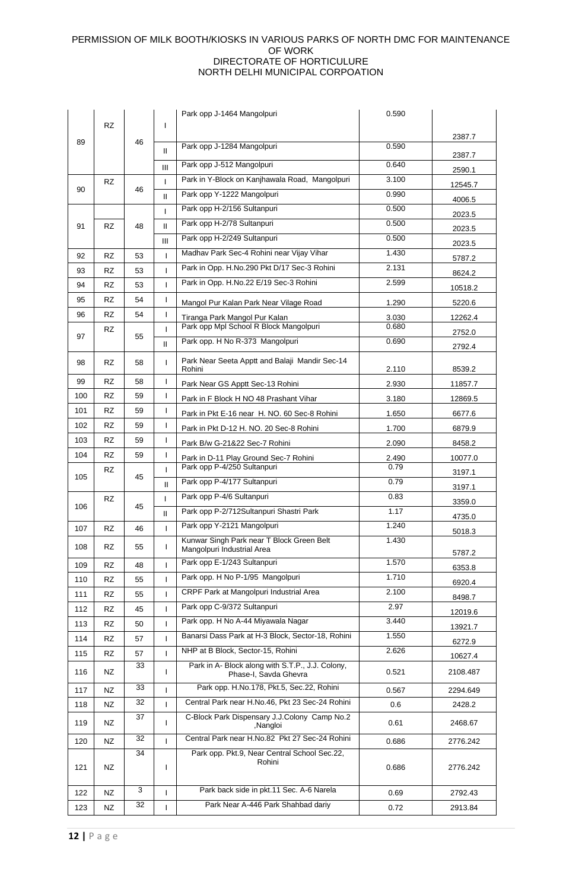|     |           |    |               | Park opp J-1464 Mangolpuri                                                | 0.590          |          |
|-----|-----------|----|---------------|---------------------------------------------------------------------------|----------------|----------|
|     | <b>RZ</b> |    | ı             |                                                                           |                | 2387.7   |
| 89  |           | 46 | Ш             | Park opp J-1284 Mangolpuri                                                | 0.590          |          |
|     |           |    | Ш             | Park opp J-512 Mangolpuri                                                 | 0.640          | 2387.7   |
|     | RZ.       |    | ı             | Park in Y-Block on Kanjhawala Road, Mangolpuri                            | 3.100          | 2590.1   |
| 90  |           | 46 | Ш             | Park opp Y-1222 Mangolpuri                                                | 0.990          | 12545.7  |
|     |           |    | L             | Park opp H-2/156 Sultanpuri                                               | 0.500          | 4006.5   |
| 91  | <b>RZ</b> | 48 | Ш             | Park opp H-2/78 Sultanpuri                                                | 0.500          | 2023.5   |
|     |           |    | Ш             | Park opp H-2/249 Sultanpuri                                               | 0.500          | 2023.5   |
| 92  | <b>RZ</b> | 53 | ı             | Madhav Park Sec-4 Rohini near Vijay Vihar                                 | 1.430          | 2023.5   |
| 93  | <b>RZ</b> | 53 | L             | Park in Opp. H.No.290 Pkt D/17 Sec-3 Rohini                               | 2.131          | 5787.2   |
| 94  | RZ        | 53 | ı             | Park in Opp. H.No.22 E/19 Sec-3 Rohini                                    | 2.599          | 8624.2   |
| 95  | <b>RZ</b> | 54 | T             |                                                                           |                | 10518.2  |
| 96  | <b>RZ</b> | 54 | I             | Mangol Pur Kalan Park Near Vilage Road                                    | 1.290          | 5220.6   |
|     | RZ        |    | ı             | Tiranga Park Mangol Pur Kalan<br>Park opp Mpl School R Block Mangolpuri   | 3.030<br>0.680 | 12262.4  |
| 97  |           | 55 | $\mathbf{H}$  | Park opp. H No R-373 Mangolpuri                                           | 0.690          | 2752.0   |
|     |           |    |               |                                                                           |                | 2792.4   |
| 98  | <b>RZ</b> | 58 | T             | Park Near Seeta Apptt and Balaji Mandir Sec-14<br>Rohini                  | 2.110          | 8539.2   |
| 99  | <b>RZ</b> | 58 | I             | Park Near GS Apptt Sec-13 Rohini                                          | 2.930          | 11857.7  |
| 100 | <b>RZ</b> | 59 | T             | Park in F Block H NO 48 Prashant Vihar                                    | 3.180          | 12869.5  |
| 101 | RZ        | 59 | I             | Park in Pkt E-16 near H. NO. 60 Sec-8 Rohini                              | 1.650          | 6677.6   |
| 102 | <b>RZ</b> | 59 | T             | Park in Pkt D-12 H. NO. 20 Sec-8 Rohini                                   | 1.700          | 6879.9   |
| 103 | <b>RZ</b> | 59 | T             | Park B/w G-21&22 Sec-7 Rohini                                             | 2.090          | 8458.2   |
| 104 | RZ.       | 59 | T             | Park in D-11 Play Ground Sec-7 Rohini                                     | 2.490          | 10077.0  |
| 105 | RZ        | 45 | ı             | Park opp P-4/250 Sultanpuri                                               | 0.79           | 3197.1   |
|     |           |    | Ш             | Park opp P-4/177 Sultanpuri                                               | 0.79           | 3197.1   |
| 106 | <b>RZ</b> | 45 | L             | Park opp P-4/6 Sultanpuri                                                 | 0.83           | 3359.0   |
|     |           |    | $\mathbf{II}$ | Park opp P-2/712Sultanpuri Shastri Park                                   | 1.17           | 4735.0   |
| 107 | <b>RZ</b> | 46 |               | Park opp Y-2121 Mangolpuri                                                | 1.240          | 5018.3   |
| 108 | RZ        | 55 | I             | Kunwar Singh Park near T Block Green Belt<br>Mangolpuri Industrial Area   | 1.430          | 5787.2   |
| 109 | <b>RZ</b> | 48 | ı             | Park opp E-1/243 Sultanpuri                                               | 1.570          | 6353.8   |
| 110 | <b>RZ</b> | 55 | T             | Park opp. H No P-1/95 Mangolpuri                                          | 1.710          | 6920.4   |
| 111 | <b>RZ</b> | 55 | T             | CRPF Park at Mangolpuri Industrial Area                                   | 2.100          | 8498.7   |
| 112 | RZ        | 45 | ı             | Park opp C-9/372 Sultanpuri                                               | 2.97           | 12019.6  |
| 113 | RZ        | 50 | L             | Park opp. H No A-44 Miyawala Nagar                                        | 3.440          | 13921.7  |
| 114 | <b>RZ</b> | 57 | T             | Banarsi Dass Park at H-3 Block, Sector-18, Rohini                         | 1.550          | 6272.9   |
| 115 | RZ        | 57 | ı             | NHP at B Block, Sector-15, Rohini                                         | 2.626          | 10627.4  |
| 116 | NZ        | 33 | I             | Park in A- Block along with S.T.P., J.J. Colony,<br>Phase-I, Savda Ghevra | 0.521          | 2108.487 |
| 117 | NZ        | 33 | ı             | Park opp. H.No.178, Pkt.5, Sec.22, Rohini                                 | 0.567          | 2294.649 |
| 118 | NZ        | 32 | I.            | Central Park near H.No.46, Pkt 23 Sec-24 Rohini                           | 0.6            | 2428.2   |
|     |           | 37 |               | C-Block Park Dispensary J.J.Colony Camp No.2                              |                |          |
| 119 | NZ        |    | T             | Nangloi,                                                                  | 0.61           | 2468.67  |
| 120 | NZ        | 32 | ı             | Central Park near H.No.82 Pkt 27 Sec-24 Rohini                            | 0.686          | 2776.242 |
| 121 | NZ        | 34 | I             | Park opp. Pkt.9, Near Central School Sec.22,<br>Rohini                    | 0.686          | 2776.242 |
| 122 | NZ        | 3  | ı             | Park back side in pkt.11 Sec. A-6 Narela                                  | 0.69           | 2792.43  |
| 123 | NZ        | 32 | T             | Park Near A-446 Park Shahbad dariy                                        | 0.72           | 2913.84  |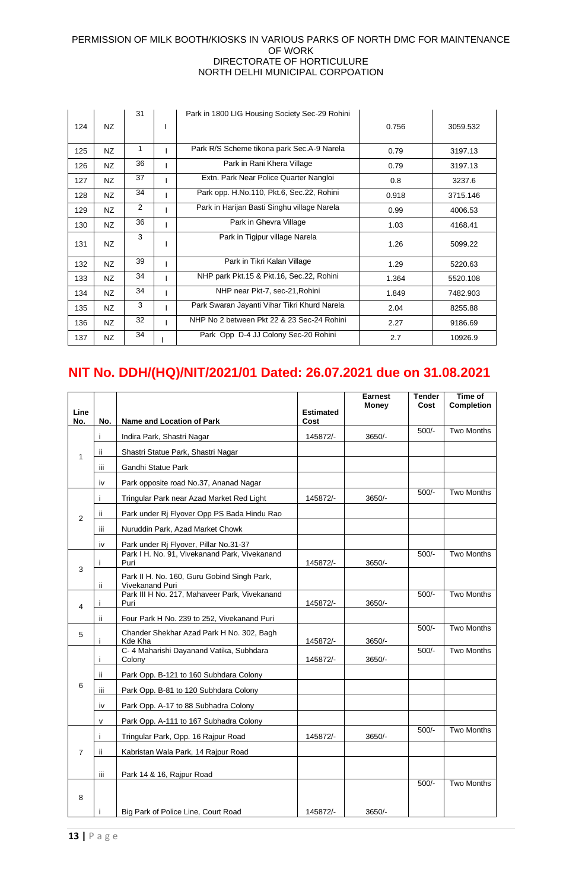|     |     | 31           | Park in 1800 LIG Housing Society Sec-29 Rohini |       |          |
|-----|-----|--------------|------------------------------------------------|-------|----------|
| 124 | NZ  |              |                                                | 0.756 | 3059.532 |
| 125 | NZ  | $\mathbf{1}$ | Park R/S Scheme tikona park Sec.A-9 Narela     | 0.79  | 3197.13  |
| 126 | NZ  | 36           | Park in Rani Khera Village                     | 0.79  | 3197.13  |
| 127 | NZ  | 37           | Extn. Park Near Police Quarter Nangloi         | 0.8   | 3237.6   |
| 128 | NZ  | 34           | Park opp. H.No.110, Pkt.6, Sec.22, Rohini      | 0.918 | 3715.146 |
| 129 | NZ  | 2            | Park in Harijan Basti Singhu village Narela    | 0.99  | 4006.53  |
| 130 | NZ. | 36           | Park in Ghevra Village                         | 1.03  | 4168.41  |
| 131 | NZ  | 3            | Park in Tigipur village Narela                 | 1.26  | 5099.22  |
| 132 | NZ  | 39           | Park in Tikri Kalan Village                    | 1.29  | 5220.63  |
| 133 | NZ. | 34           | NHP park Pkt.15 & Pkt.16, Sec.22, Rohini       | 1.364 | 5520.108 |
| 134 | NZ  | 34           | NHP near Pkt-7, sec-21, Rohini                 | 1.849 | 7482.903 |
| 135 | NZ  | 3            | Park Swaran Jayanti Vihar Tikri Khurd Narela   | 2.04  | 8255.88  |
| 136 | NZ. | 32           | NHP No 2 between Pkt 22 & 23 Sec-24 Rohini     | 2.27  | 9186.69  |
| 137 | NZ. | 34           | Park Opp D-4 JJ Colony Sec-20 Rohini           | 2.7   | 10926.9  |

## **NIT No. DDH/(HQ)/NIT/2021/01 Dated: 26.07.2021 due on 31.08.2021**

|                |      |                                                                |                   | <b>Earnest</b><br>Money | Tender<br>Cost | Time of<br><b>Completion</b> |
|----------------|------|----------------------------------------------------------------|-------------------|-------------------------|----------------|------------------------------|
| Line<br>No.    | No.  | Name and Location of Park                                      | Estimated<br>Cost |                         |                |                              |
|                | j    | Indira Park, Shastri Nagar                                     | 145872/-          | 3650/-                  | $500/-$        | <b>Two Months</b>            |
| 1              | ii.  | Shastri Statue Park, Shastri Nagar                             |                   |                         |                |                              |
|                | iίi  | Gandhi Statue Park                                             |                   |                         |                |                              |
|                | iv   | Park opposite road No.37, Ananad Nagar                         |                   |                         |                |                              |
|                | Ť    | Tringular Park near Azad Market Red Light                      | 145872/-          | 3650/-                  | $500/-$        | <b>Two Months</b>            |
| $\overline{2}$ | ij.  | Park under Ri Flyover Opp PS Bada Hindu Rao                    |                   |                         |                |                              |
|                | Ш    | Nuruddin Park, Azad Market Chowk                               |                   |                         |                |                              |
|                | iv   | Park under Rj Flyover, Pillar No.31-37                         |                   |                         |                |                              |
|                |      | Park I H. No. 91, Vivekanand Park, Vivekanand<br>Puri          | 145872/-          | $3650/-$                | $500/-$        | <b>Two Months</b>            |
| 3              | ii.  | Park II H. No. 160, Guru Gobind Singh Park,<br>Vivekanand Puri |                   |                         |                |                              |
| 4              |      | Park III H No. 217, Mahaveer Park, Vivekanand<br>Puri          | 145872/-          | $3650/-$                | $500/-$        | <b>Two Months</b>            |
|                | ii.  | Four Park H No. 239 to 252, Vivekanand Puri                    |                   |                         |                |                              |
| 5              |      | Chander Shekhar Azad Park H No. 302, Bagh<br>Kde Kha           | 145872/-          | $3650/-$                | $500/-$        | <b>Two Months</b>            |
|                | j    | C- 4 Maharishi Dayanand Vatika, Subhdara<br>Colony             | 145872/-          | $3650/-$                | $500/-$        | <b>Two Months</b>            |
|                | ii.  | Park Opp. B-121 to 160 Subhdara Colony                         |                   |                         |                |                              |
| 6              | iii. | Park Opp. B-81 to 120 Subhdara Colony                          |                   |                         |                |                              |
|                | iv   | Park Opp. A-17 to 88 Subhadra Colony                           |                   |                         |                |                              |
|                | v    | Park Opp. A-111 to 167 Subhadra Colony                         |                   |                         |                |                              |
|                | Ť    | Tringular Park, Opp. 16 Rajpur Road                            | 145872/-          | $3650/-$                | $500/-$        | <b>Two Months</b>            |
| $\overline{7}$ | ii.  | Kabristan Wala Park, 14 Rajpur Road                            |                   |                         |                |                              |
|                | iii. | Park 14 & 16, Rajpur Road                                      |                   |                         |                |                              |
| 8              |      |                                                                |                   |                         | $500/-$        | <b>Two Months</b>            |
|                |      | Big Park of Police Line, Court Road                            | 145872/-          | $3650/-$                |                |                              |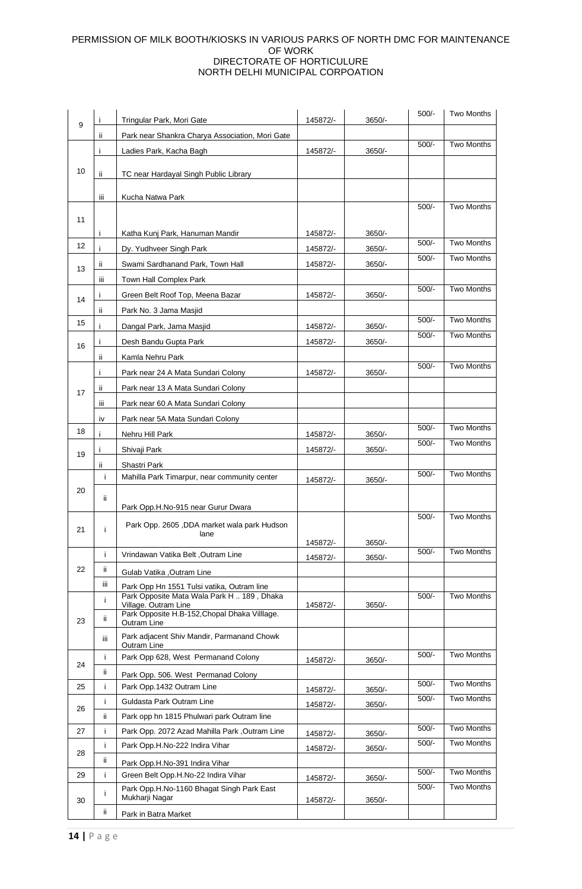|    |              | Tringular Park, Mori Gate                                          | 145872/- | 3650/-   | $500/-$ | <b>Two Months</b> |
|----|--------------|--------------------------------------------------------------------|----------|----------|---------|-------------------|
| 9  | ï            | Park near Shankra Charya Association, Mori Gate                    |          |          |         |                   |
|    | Ť            | Ladies Park, Kacha Bagh                                            | 145872/- | 3650/-   | $500/-$ | Two Months        |
|    |              |                                                                    |          |          |         |                   |
| 10 | ii.          | TC near Hardayal Singh Public Library                              |          |          |         |                   |
|    | iii.         | Kucha Natwa Park                                                   |          |          |         |                   |
|    |              |                                                                    |          |          | $500/-$ | Two Months        |
| 11 |              |                                                                    |          |          |         |                   |
|    | Ť            | Katha Kunj Park, Hanuman Mandir                                    | 145872/- | 3650/-   | $500/-$ | <b>Two Months</b> |
| 12 |              | Dy. Yudhveer Singh Park                                            | 145872/- | 3650/-   | $500/-$ | <b>Two Months</b> |
| 13 | ii.          | Swami Sardhanand Park, Town Hall                                   | 145872/- | 3650/-   |         |                   |
|    | Ш            | Town Hall Complex Park                                             |          |          | $500/-$ | <b>Two Months</b> |
| 14 |              | Green Belt Roof Top, Meena Bazar                                   | 145872/- | 3650/-   |         |                   |
|    | ii.          | Park No. 3 Jama Masjid                                             |          |          |         | <b>Two Months</b> |
| 15 |              | Dangal Park, Jama Masjid                                           | 145872/- | 3650/-   | $500/-$ |                   |
| 16 |              | Desh Bandu Gupta Park                                              | 145872/- | 3650/    | $500/-$ | <b>Two Months</b> |
|    | ii.          | Kamla Nehru Park                                                   |          |          |         |                   |
|    | $\mathbf{I}$ | Park near 24 A Mata Sundari Colony                                 | 145872/- | 3650/-   | $500/-$ | Two Months        |
| 17 | ii.          | Park near 13 A Mata Sundari Colony                                 |          |          |         |                   |
|    | Ш            | Park near 60 A Mata Sundari Colony                                 |          |          |         |                   |
|    | iv           | Park near 5A Mata Sundari Colony                                   |          |          |         |                   |
| 18 |              | Nehru Hill Park                                                    | 145872/- | $3650/-$ | $500/-$ | <b>Two Months</b> |
| 19 | $\mathbf{I}$ | Shivaji Park                                                       | 145872/- | 3650/-   | $500/-$ | <b>Two Months</b> |
|    | ij.          | Shastri Park                                                       |          |          |         |                   |
|    | j.           | Mahilla Park Timarpur, near community center                       | 145872/- | 3650/-   | $500/-$ | <b>Two Months</b> |
| 20 | ii.          |                                                                    |          |          |         |                   |
|    |              | Park Opp.H.No-915 near Gurur Dwara                                 |          |          |         |                   |
| 21 | i.           | Park Opp. 2605, DDA market wala park Hudson                        |          |          | $500/-$ | <b>Two Months</b> |
|    |              | lane                                                               | 145872/- | 3650/-   |         |                   |
|    | i.           | Vrindawan Vatika Belt, Outram Line                                 | 145872/- | 3650/-   | $500/-$ | <b>Two Months</b> |
| 22 | ii.          | Gulab Vatika , Outram Line                                         |          |          |         |                   |
|    | iij          | Park Opp Hn 1551 Tulsi vatika, Outram line                         |          |          |         |                   |
|    | i.           | Park Opposite Mata Wala Park H  189, Dhaka<br>Village. Outram Line | 145872/- | $3650/-$ | $500/-$ | Two Months        |
|    | ij.          | Park Opposite H.B-152, Chopal Dhaka Village.                       |          |          |         |                   |
| 23 |              | Outram Line                                                        |          |          |         |                   |
|    | iΪi          | Park adjacent Shiv Mandir, Parmanand Chowk<br>Outram Line          |          |          |         |                   |
| 24 | i.           | Park Opp 628, West Permanand Colony                                | 145872/- | 3650/-   | $500/-$ | Two Months        |
|    | ii.          | Park Opp. 506. West Permanad Colony                                |          |          |         |                   |
| 25 | j.           | Park Opp.1432 Outram Line                                          | 145872/- | 3650/-   | $500/-$ | Two Months        |
| 26 | i            | Guldasta Park Outram Line                                          | 145872/- | $3650/-$ | $500/-$ | Two Months        |
|    | ii.          | Park opp hn 1815 Phulwari park Outram line                         |          |          |         |                   |
| 27 | i.           | Park Opp. 2072 Azad Mahilla Park, Outram Line                      | 145872/- | 3650/-   | $500/-$ | Two Months        |
| 28 | i.           | Park Opp.H.No-222 Indira Vihar                                     | 145872/- | 3650/-   | $500/-$ | <b>Two Months</b> |
|    | ii.          | Park Opp.H.No-391 Indira Vihar                                     |          |          |         |                   |
| 29 | Ť            | Green Belt Opp.H.No-22 Indira Vihar                                | 145872/- | 3650/-   | $500/-$ | Two Months        |
| 30 | i            | Park Opp.H.No-1160 Bhagat Singh Park East<br>Mukharji Nagar        | 145872/- | 3650/-   | $500/-$ | <b>Two Months</b> |
|    | ii.          | Park in Batra Market                                               |          |          |         |                   |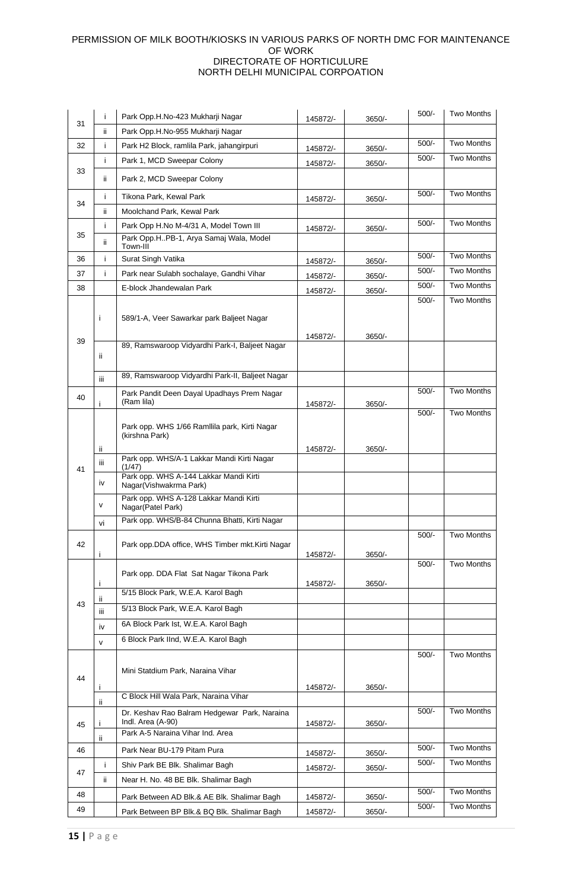|    | i            | Park Opp.H.No-423 Mukharji Nagar                                           | 145872/- | 3650/- | $500/-$ | <b>Two Months</b> |
|----|--------------|----------------------------------------------------------------------------|----------|--------|---------|-------------------|
| 31 | ii.          | Park Opp.H.No-955 Mukharji Nagar                                           |          |        |         |                   |
| 32 | i            | Park H2 Block, ramlila Park, jahangirpuri                                  | 145872/- | 3650/- | $500/-$ | Two Months        |
|    | i            | Park 1, MCD Sweepar Colony                                                 | 145872/- | 3650/- | $500/-$ | Two Months        |
| 33 | ij.          | Park 2, MCD Sweepar Colony                                                 |          |        |         |                   |
|    | i            | Tikona Park, Kewal Park                                                    | 145872/- | 3650/- | $500/-$ | <b>Two Months</b> |
| 34 | ii.          | Moolchand Park, Kewal Park                                                 |          |        |         |                   |
|    | i            | Park Opp H.No M-4/31 A, Model Town III                                     | 145872/- | 3650/- | $500/-$ | <b>Two Months</b> |
| 35 | ii.          | Park Opp.HPB-1, Arya Samaj Wala, Model<br>Town-III                         |          |        |         |                   |
| 36 | i            | Surat Singh Vatika                                                         | 145872/- | 3650/- | $500/-$ | Two Months        |
| 37 | i            | Park near Sulabh sochalaye, Gandhi Vihar                                   | 145872/- | 3650/- | $500/-$ | <b>Two Months</b> |
| 38 |              | E-block Jhandewalan Park                                                   | 145872/- | 3650/- | $500/-$ | <b>Two Months</b> |
|    | j.           | 589/1-A, Veer Sawarkar park Baljeet Nagar                                  |          |        | $500/-$ | <b>Two Months</b> |
| 39 |              | 89, Ramswaroop Vidyardhi Park-I, Baljeet Nagar                             | 145872/- | 3650/- |         |                   |
|    | ii.          |                                                                            |          |        |         |                   |
|    |              | 89, Ramswaroop Vidyardhi Park-II, Baljeet Nagar                            |          |        |         |                   |
|    | iii.         |                                                                            |          |        | $500/-$ | <b>Two Months</b> |
| 40 | Ť            | Park Pandit Deen Dayal Upadhays Prem Nagar<br>(Ram lila)                   | 145872/- | 3650/- |         |                   |
|    | ij.          | Park opp. WHS 1/66 Ramilila park, Kirti Nagar<br>(kirshna Park)            | 145872/- | 3650/- | $500/-$ | <b>Two Months</b> |
|    | Ш            | Park opp. WHS/A-1 Lakkar Mandi Kirti Nagar                                 |          |        |         |                   |
| 41 | iv           | (1/47)<br>Park opp. WHS A-144 Lakkar Mandi Kirti<br>Nagar(Vishwakrma Park) |          |        |         |                   |
|    | v            | Park opp. WHS A-128 Lakkar Mandi Kirti<br>Nagar(Patel Park)                |          |        |         |                   |
|    | vi           | Park opp. WHS/B-84 Chunna Bhatti, Kirti Nagar                              |          |        |         |                   |
|    |              |                                                                            |          |        | $500/-$ | Two Months        |
| 42 |              | Park opp.DDA office, WHS Timber mkt.Kirti Nagar                            |          |        |         |                   |
|    | Ť            |                                                                            | 145872/- | 3650/- | $500/-$ | Two Months        |
|    |              | Park opp. DDA Flat Sat Nagar Tikona Park                                   |          |        |         |                   |
|    | Ť            | 5/15 Block Park, W.E.A. Karol Bagh                                         | 145872/- | 3650/- |         |                   |
| 43 | ij.          | 5/13 Block Park, W.E.A. Karol Bagh                                         |          |        |         |                   |
|    | iii.         | 6A Block Park Ist, W.E.A. Karol Bagh                                       |          |        |         |                   |
|    | iv           | 6 Block Park IInd, W.E.A. Karol Bagh                                       |          |        |         |                   |
|    | $\mathsf{v}$ |                                                                            |          |        |         |                   |
| 44 | j.           | Mini Statdium Park, Naraina Vihar                                          | 145872/- | 3650/- | $500/-$ | Two Months        |
|    | ij.          | C Block Hill Wala Park, Naraina Vihar                                      |          |        |         |                   |
| 45 | j.           | Dr. Keshav Rao Balram Hedgewar Park, Naraina<br>Indl. Area (A-90)          | 145872/- | 3650/- | $500/-$ | Two Months        |
|    | ij.          | Park A-5 Naraina Vihar Ind. Area                                           |          |        |         |                   |
| 46 |              | Park Near BU-179 Pitam Pura                                                | 145872/- | 3650/- | $500/-$ | Two Months        |
|    | j.           | Shiv Park BE Blk. Shalimar Bagh                                            | 145872/- | 3650/- | $500/-$ | Two Months        |
| 47 | ii.          | Near H. No. 48 BE Blk. Shalimar Bagh                                       |          |        |         |                   |
| 48 |              | Park Between AD Blk.& AE Blk. Shalimar Bagh                                | 145872/- | 3650/- | $500/-$ | Two Months        |
| 49 |              | Park Between BP Blk.& BQ Blk. Shalimar Bagh                                | 145872/- | 3650/- | $500/-$ | Two Months        |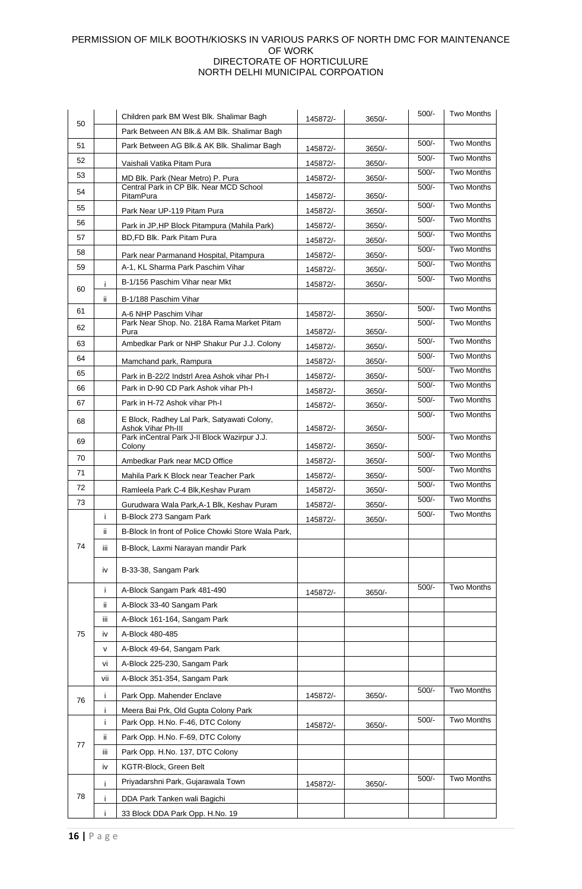| 50 |     | Children park BM West Blk. Shalimar Bagh                            | 145872/- | 3650/-   | $500/-$ | Two Months        |
|----|-----|---------------------------------------------------------------------|----------|----------|---------|-------------------|
|    |     | Park Between AN Blk.& AM Blk. Shalimar Bagh                         |          |          |         |                   |
| 51 |     | Park Between AG Blk.& AK Blk. Shalimar Bagh                         | 145872/- | 3650/-   | $500/-$ | <b>Two Months</b> |
| 52 |     | Vaishali Vatika Pitam Pura                                          | 145872/- | 3650/-   | $500/-$ | <b>Two Months</b> |
| 53 |     | MD Blk. Park (Near Metro) P. Pura                                   | 145872/- | 3650/-   | $500/-$ | <b>Two Months</b> |
| 54 |     | Central Park in CP Blk. Near MCD School<br>PitamPura                | 145872/- | 3650/-   | $500/-$ | <b>Two Months</b> |
| 55 |     | Park Near UP-119 Pitam Pura                                         | 145872/- | 3650/-   | $500/-$ | <b>Two Months</b> |
| 56 |     | Park in JP, HP Block Pitampura (Mahila Park)                        | 145872/- | 3650/-   | $500/-$ | <b>Two Months</b> |
| 57 |     | BD,FD Blk. Park Pitam Pura                                          | 145872/- | 3650/    | $500/-$ | Two Months        |
| 58 |     | Park near Parmanand Hospital, Pitampura                             | 145872/- | $3650/-$ | $500/-$ | <b>Two Months</b> |
| 59 |     | A-1, KL Sharma Park Paschim Vihar                                   | 145872/- | 3650/-   | $500/-$ | <b>Two Months</b> |
|    | i.  | B-1/156 Paschim Vihar near Mkt                                      | 145872/- | 3650/-   | $500/-$ | Two Months        |
| 60 |     |                                                                     |          |          |         |                   |
| 61 | ij. | B-1/188 Paschim Vihar                                               |          |          | $500/-$ | <b>Two Months</b> |
|    |     | A-6 NHP Paschim Vihar<br>Park Near Shop. No. 218A Rama Market Pitam | 145872/- | 3650/-   | $500/-$ | <b>Two Months</b> |
| 62 |     | Pura                                                                | 145872/- | 3650/-   |         | <b>Two Months</b> |
| 63 |     | Ambedkar Park or NHP Shakur Pur J.J. Colony                         | 145872/- | 3650/-   | $500/-$ |                   |
| 64 |     | Mamchand park, Rampura                                              | 145872/- | 3650/-   | $500/-$ | Two Months        |
| 65 |     | Park in B-22/2 Indstrl Area Ashok vihar Ph-I                        | 145872/- | 3650/-   | $500/-$ | <b>Two Months</b> |
| 66 |     | Park in D-90 CD Park Ashok vihar Ph-I                               | 145872/- | 3650/-   | $500/-$ | <b>Two Months</b> |
| 67 |     | Park in H-72 Ashok vihar Ph-I                                       | 145872/- | 3650/-   | $500/-$ | Two Months        |
| 68 |     | E Block, Radhey Lal Park, Satyawati Colony,                         |          |          | $500/-$ | <b>Two Months</b> |
|    |     | Ashok Vihar Ph-III<br>Park inCentral Park J-II Block Wazirpur J.J.  | 145872/- | 3650/-   | $500/-$ | <b>Two Months</b> |
| 69 |     | Colony                                                              | 145872/- | 3650/-   |         |                   |
| 70 |     | Ambedkar Park near MCD Office                                       | 145872/- | 3650/-   | $500/-$ | <b>Two Months</b> |
| 71 |     | Mahila Park K Block near Teacher Park                               | 145872/- | $3650/-$ | $500/-$ | Two Months        |
| 72 |     | Ramleela Park C-4 Blk, Keshav Puram                                 | 145872/- | 3650/-   | $500/-$ | <b>Two Months</b> |
| 73 |     | Gurudwara Wala Park, A-1 Blk, Keshav Puram                          | 145872/- | 3650/-   | $500/-$ | <b>Two Months</b> |
|    | j.  | B-Block 273 Sangam Park                                             | 145872/- | 3650/-   | $500/-$ | <b>Two Months</b> |
|    | ii. | B-Block In front of Police Chowki Store Wala Park,                  |          |          |         |                   |
| 74 | iΪi | B-Block, Laxmi Narayan mandir Park                                  |          |          |         |                   |
|    | iv  | B-33-38, Sangam Park                                                |          |          |         |                   |
|    | i   | A-Block Sangam Park 481-490                                         | 145872/- | 3650/-   | $500/-$ | <b>Two Months</b> |
|    | ïi  | A-Block 33-40 Sangam Park                                           |          |          |         |                   |
|    | iij | A-Block 161-164, Sangam Park                                        |          |          |         |                   |
| 75 | iv  | A-Block 480-485                                                     |          |          |         |                   |
|    | v   | A-Block 49-64, Sangam Park                                          |          |          |         |                   |
|    | vi  | A-Block 225-230, Sangam Park                                        |          |          |         |                   |
|    | vii | A-Block 351-354, Sangam Park                                        |          |          |         |                   |
|    | Î   | Park Opp. Mahender Enclave                                          | 145872/- | 3650/-   | $500/-$ | Two Months        |
| 76 | i   | Meera Bai Prk, Old Gupta Colony Park                                |          |          |         |                   |
|    | i   | Park Opp. H.No. F-46, DTC Colony                                    | 145872/- | 3650/-   | $500/-$ | Two Months        |
| 77 | ii. | Park Opp. H.No. F-69, DTC Colony                                    |          |          |         |                   |
|    | iij | Park Opp. H.No. 137, DTC Colony                                     |          |          |         |                   |
|    | iv  | KGTR-Block, Green Belt                                              |          |          |         |                   |
| 78 |     | Priyadarshni Park, Gujarawala Town                                  |          |          | $500/-$ | Two Months        |
|    | i   |                                                                     | 145872/- | 3650/-   |         |                   |
|    | i   | DDA Park Tanken wali Bagichi                                        |          |          |         |                   |
|    | i   | 33 Block DDA Park Opp. H.No. 19                                     |          |          |         |                   |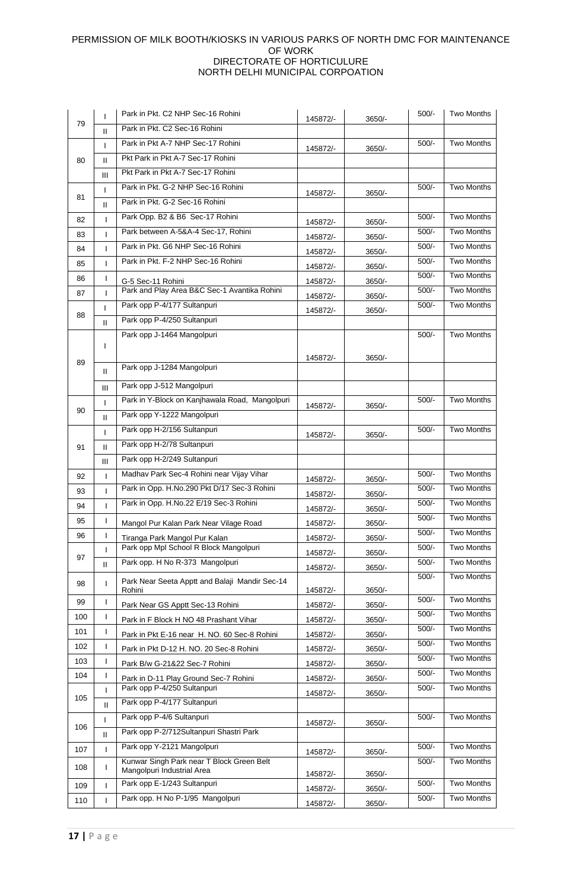| 79  | T                 | Park in Pkt. C2 NHP Sec-16 Rohini                                    | 145872/- | 3650/-               | $500/-$ | <b>Two Months</b> |
|-----|-------------------|----------------------------------------------------------------------|----------|----------------------|---------|-------------------|
|     | Ш                 | Park in Pkt. C2 Sec-16 Rohini                                        |          |                      |         |                   |
| 80  | ı                 | Park in Pkt A-7 NHP Sec-17 Rohini                                    | 145872/- | 3650/-               | $500/-$ | Two Months        |
|     | $\mathbf{I}$      | Pkt Park in Pkt A-7 Sec-17 Rohini                                    |          |                      |         |                   |
|     | Ш                 | Pkt Park in Pkt A-7 Sec-17 Rohini                                    |          |                      |         |                   |
| 81  | T                 | Park in Pkt. G-2 NHP Sec-16 Rohini                                   | 145872/- | 3650/-               | $500/-$ | <b>Two Months</b> |
|     | Ш                 | Park in Pkt. G-2 Sec-16 Rohini                                       |          |                      |         |                   |
| 82  | $\mathbf{I}$      | Park Opp. B2 & B6 Sec-17 Rohini                                      | 145872/- | 3650/-               | $500/-$ | Two Months        |
| 83  | I                 | Park between A-5&A-4 Sec-17, Rohini                                  | 145872/- | 3650/-               | $500/-$ | Two Months        |
| 84  | L                 | Park in Pkt. G6 NHP Sec-16 Rohini                                    | 145872/- | 3650/-               | $500/-$ | <b>Two Months</b> |
| 85  | $\mathbf{I}$      | Park in Pkt. F-2 NHP Sec-16 Rohini                                   | 145872/- | 3650/-               | $500/-$ | <b>Two Months</b> |
| 86  | I                 | G-5 Sec-11 Rohini                                                    | 145872/- |                      | $500/-$ | Two Months        |
| 87  | T                 | Park and Play Area B&C Sec-1 Avantika Rohini                         |          | $3650/-$<br>$3650/-$ | $500/-$ | <b>Two Months</b> |
|     | ı                 | Park opp P-4/177 Sultanpuri                                          | 145872/- |                      | $500/-$ | Two Months        |
| 88  | $\mathbf{H}$      | Park opp P-4/250 Sultanpuri                                          | 145872/- | 3650/-               |         |                   |
|     |                   | Park opp J-1464 Mangolpuri                                           |          |                      | $500/-$ | Two Months        |
|     | L                 |                                                                      |          |                      |         |                   |
| 89  |                   | Park opp J-1284 Mangolpuri                                           | 145872/- | 3650/-               |         |                   |
|     | Ш                 |                                                                      |          |                      |         |                   |
|     | Ш                 | Park opp J-512 Mangolpuri                                            |          |                      |         |                   |
| 90  | I                 | Park in Y-Block on Kanjhawala Road, Mangolpuri                       | 145872/- | 3650/-               | $500/-$ | <b>Two Months</b> |
|     | Ш                 | Park opp Y-1222 Mangolpuri                                           |          |                      |         |                   |
|     | ı                 | Park opp H-2/156 Sultanpuri                                          | 145872/- | $3650/-$             | $500/-$ | Two Months        |
| 91  | Ш                 | Park opp H-2/78 Sultanpuri                                           |          |                      |         |                   |
|     | Ш                 | Park opp H-2/249 Sultanpuri                                          |          |                      |         |                   |
| 92  | T                 | Madhav Park Sec-4 Rohini near Vijay Vihar                            | 145872/- | 3650/-               | $500/-$ | Two Months        |
| 93  | I                 | Park in Opp. H.No.290 Pkt D/17 Sec-3 Rohini                          | 145872/- | 3650/-               | $500/-$ | <b>Two Months</b> |
| 94  | $\mathbf{I}$      | Park in Opp. H.No.22 E/19 Sec-3 Rohini                               | 145872/- | $3650/-$             | $500/-$ | Two Months        |
| 95  | ı                 | Mangol Pur Kalan Park Near Vilage Road                               | 145872/- | $3650/-$             | $500/-$ | <b>Two Months</b> |
| 96  | ı                 | Tiranga Park Mangol Pur Kalan                                        | 145872/- | 3650/-               | $500/-$ | Two Months        |
| 97  | $\mathbf{I}$      | Park opp Mpl School R Block Mangolpuri                               | 145872/- | 3650/-               | $500/-$ | <b>Two Months</b> |
|     | Ш                 | Park opp. H No R-373 Mangolpuri                                      | 145872/- | 3650/-               | $500/-$ | Two Months        |
| 98  | L                 | Park Near Seeta Apptt and Balaji Mandir Sec-14                       |          |                      | $500/-$ | <b>Two Months</b> |
| 99  | I                 | Rohini                                                               | 145872/- | 3650/-               | $500/-$ | <b>Two Months</b> |
| 100 | T                 | Park Near GS Apptt Sec-13 Rohini                                     | 145872/- | 3650/-               | $500/-$ | Two Months        |
| 101 | I                 | Park in F Block H NO 48 Prashant Vihar                               | 145872/- | 3650/-               | $500/-$ | <b>Two Months</b> |
| 102 | L                 | Park in Pkt E-16 near H. NO. 60 Sec-8 Rohini                         | 145872/- | 3650/-               | $500/-$ | Two Months        |
| 103 | $\mathsf{l}$      | Park in Pkt D-12 H. NO. 20 Sec-8 Rohini                              | 145872/- | 3650/-               | $500/-$ | Two Months        |
|     |                   | Park B/w G-21&22 Sec-7 Rohini                                        | 145872/- | 3650/-               | $500/-$ | Two Months        |
| 104 | $\mathsf{I}$<br>ı | Park in D-11 Play Ground Sec-7 Rohini<br>Park opp P-4/250 Sultanpuri | 145872/- | 3650/-               | $500/-$ | Two Months        |
| 105 |                   | Park opp P-4/177 Sultanpuri                                          | 145872/- | 3650/-               |         |                   |
| 106 | Ш                 | Park opp P-4/6 Sultanpuri                                            |          |                      | $500/-$ | <b>Two Months</b> |
|     | T                 | Park opp P-2/712Sultanpuri Shastri Park                              | 145872/- | 3650/-               |         |                   |
|     | Ш                 | Park opp Y-2121 Mangolpuri                                           |          |                      | $500/-$ | <b>Two Months</b> |
| 107 | $\mathsf{I}$      | Kunwar Singh Park near T Block Green Belt                            | 145872/- | 3650/-               | $500/-$ | Two Months        |
| 108 | T                 | Mangolpuri Industrial Area                                           | 145872/- | 3650/-               |         |                   |
|     |                   |                                                                      |          |                      |         |                   |
| 109 | ı                 | Park opp E-1/243 Sultanpuri                                          | 145872/- | 3650/-               | $500/-$ | Two Months        |